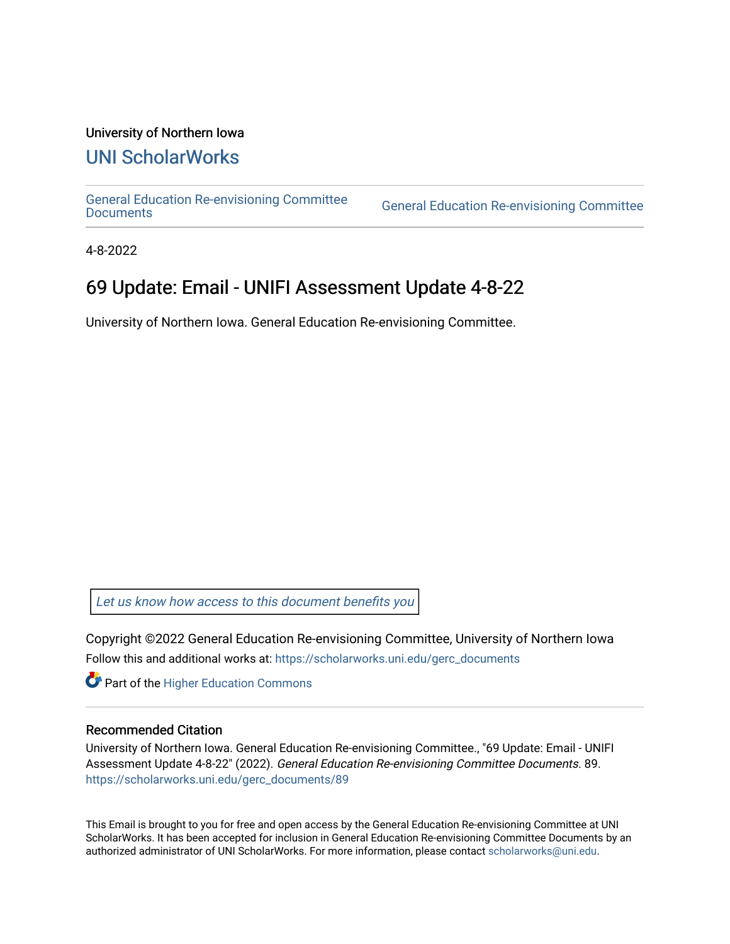#### University of Northern Iowa

## [UNI ScholarWorks](https://scholarworks.uni.edu/)

[General Education Re-envisioning Committee](https://scholarworks.uni.edu/gerc_documents) 

**General Education Re-envisioning Committee** 

4-8-2022

## 69 Update: Email - UNIFI Assessment Update 4-8-22

University of Northern Iowa. General Education Re-envisioning Committee.

[Let us know how access to this document benefits you](https://scholarworks.uni.edu/feedback_form.html) 

Copyright ©2022 General Education Re-envisioning Committee, University of Northern Iowa Follow this and additional works at: [https://scholarworks.uni.edu/gerc\\_documents](https://scholarworks.uni.edu/gerc_documents?utm_source=scholarworks.uni.edu%2Fgerc_documents%2F89&utm_medium=PDF&utm_campaign=PDFCoverPages)

**Part of the Higher Education Commons** 

#### Recommended Citation

University of Northern Iowa. General Education Re-envisioning Committee., "69 Update: Email - UNIFI Assessment Update 4-8-22" (2022). General Education Re-envisioning Committee Documents. 89. [https://scholarworks.uni.edu/gerc\\_documents/89](https://scholarworks.uni.edu/gerc_documents/89?utm_source=scholarworks.uni.edu%2Fgerc_documents%2F89&utm_medium=PDF&utm_campaign=PDFCoverPages) 

This Email is brought to you for free and open access by the General Education Re-envisioning Committee at UNI ScholarWorks. It has been accepted for inclusion in General Education Re-envisioning Committee Documents by an authorized administrator of UNI ScholarWorks. For more information, please contact [scholarworks@uni.edu.](mailto:scholarworks@uni.edu)